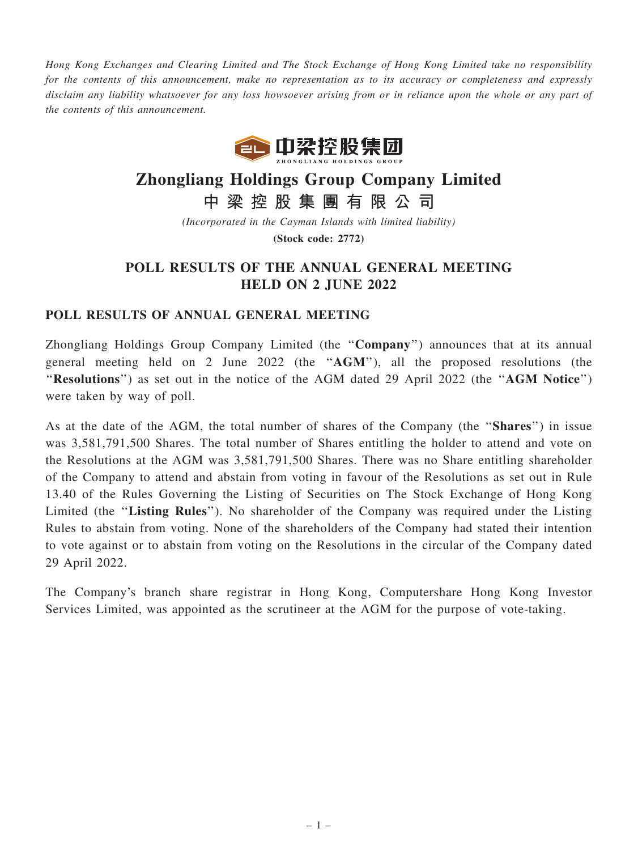Hong Kong Exchanges and Clearing Limited and The Stock Exchange of Hong Kong Limited take no responsibility for the contents of this announcement, make no representation as to its accuracy or completeness and expressly disclaim any liability whatsoever for any loss howsoever arising from or in reliance upon the whole or any part of the contents of this announcement.



## Zhongliang Holdings Group Company Limited

中 梁 控 股 集 團 有 限 公 司

(Incorporated in the Cayman Islands with limited liability)

(Stock code: 2772)

## POLL RESULTS OF THE ANNUAL GENERAL MEETING HELD ON 2 JUNE 2022

## POLL RESULTS OF ANNUAL GENERAL MEETING

Zhongliang Holdings Group Company Limited (the ''Company'') announces that at its annual general meeting held on 2 June 2022 (the ''AGM''), all the proposed resolutions (the "Resolutions") as set out in the notice of the AGM dated 29 April 2022 (the "AGM Notice") were taken by way of poll.

As at the date of the AGM, the total number of shares of the Company (the "Shares") in issue was 3,581,791,500 Shares. The total number of Shares entitling the holder to attend and vote on the Resolutions at the AGM was 3,581,791,500 Shares. There was no Share entitling shareholder of the Company to attend and abstain from voting in favour of the Resolutions as set out in Rule 13.40 of the Rules Governing the Listing of Securities on The Stock Exchange of Hong Kong Limited (the "Listing Rules"). No shareholder of the Company was required under the Listing Rules to abstain from voting. None of the shareholders of the Company had stated their intention to vote against or to abstain from voting on the Resolutions in the circular of the Company dated 29 April 2022.

The Company's branch share registrar in Hong Kong, Computershare Hong Kong Investor Services Limited, was appointed as the scrutineer at the AGM for the purpose of vote-taking.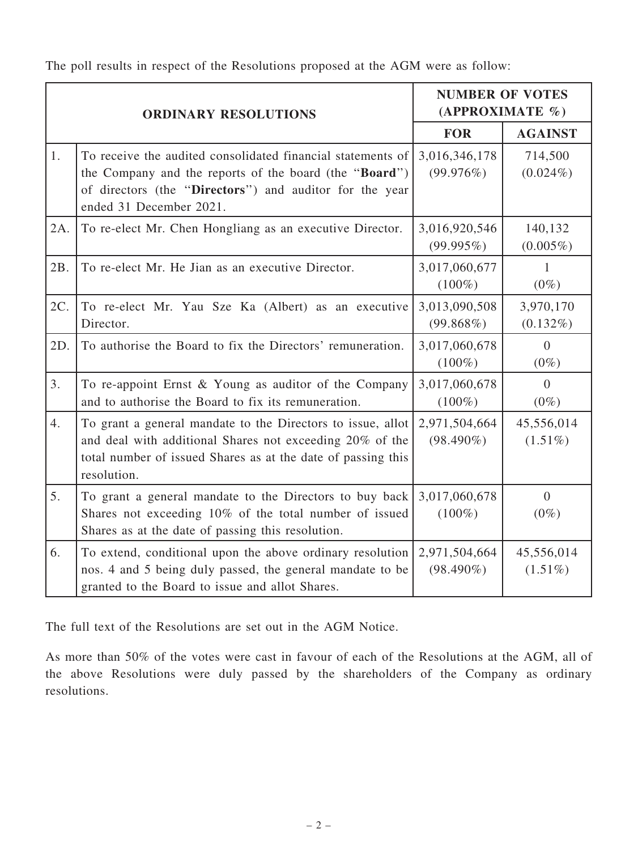The poll results in respect of the Resolutions proposed at the AGM were as follow:

| <b>ORDINARY RESOLUTIONS</b> |                                                                                                                                                                                                             | <b>NUMBER OF VOTES</b><br>(APPROXIMATE %) |                           |
|-----------------------------|-------------------------------------------------------------------------------------------------------------------------------------------------------------------------------------------------------------|-------------------------------------------|---------------------------|
|                             |                                                                                                                                                                                                             | <b>FOR</b>                                | <b>AGAINST</b>            |
| 1.                          | To receive the audited consolidated financial statements of<br>the Company and the reports of the board (the "Board")<br>of directors (the "Directors") and auditor for the year<br>ended 31 December 2021. | 3,016,346,178<br>(99.976%)                | 714,500<br>$(0.024\%)$    |
| 2A.                         | To re-elect Mr. Chen Hongliang as an executive Director.                                                                                                                                                    | 3,016,920,546<br>(99.995%)                | 140,132<br>$(0.005\%)$    |
| 2B.                         | To re-elect Mr. He Jian as an executive Director.                                                                                                                                                           | 3,017,060,677<br>$(100\%)$                | 1<br>$(0\%)$              |
| 2C.                         | To re-elect Mr. Yau Sze Ka (Albert) as an executive<br>Director.                                                                                                                                            | 3,013,090,508<br>(99.868%)                | 3,970,170<br>$(0.132\%)$  |
| 2D.                         | To authorise the Board to fix the Directors' remuneration.                                                                                                                                                  | 3,017,060,678<br>$(100\%)$                | $\theta$<br>$(0\%)$       |
| 3.                          | To re-appoint Ernst & Young as auditor of the Company<br>and to authorise the Board to fix its remuneration.                                                                                                | 3,017,060,678<br>$(100\%)$                | $\overline{0}$<br>$(0\%)$ |
| 4.                          | To grant a general mandate to the Directors to issue, allot<br>and deal with additional Shares not exceeding 20% of the<br>total number of issued Shares as at the date of passing this<br>resolution.      | 2,971,504,664<br>$(98.490\%)$             | 45,556,014<br>$(1.51\%)$  |
| 5.                          | To grant a general mandate to the Directors to buy back<br>Shares not exceeding 10% of the total number of issued<br>Shares as at the date of passing this resolution.                                      | 3,017,060,678<br>$(100\%)$                | $\theta$<br>$(0\%)$       |
| 6.                          | To extend, conditional upon the above ordinary resolution<br>nos. 4 and 5 being duly passed, the general mandate to be<br>granted to the Board to issue and allot Shares.                                   | 2,971,504,664<br>$(98.490\%)$             | 45,556,014<br>$(1.51\%)$  |

The full text of the Resolutions are set out in the AGM Notice.

As more than 50% of the votes were cast in favour of each of the Resolutions at the AGM, all of the above Resolutions were duly passed by the shareholders of the Company as ordinary resolutions.